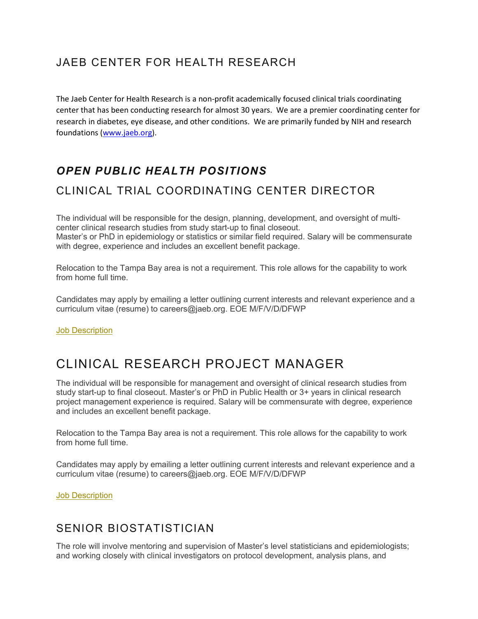## JAEB CENTER FOR HEALTH RESEARCH

The Jaeb Center for Health Research is a non-profit academically focused clinical trials coordinating center that has been conducting research for almost 30 years. We are a premier coordinating center for research in diabetes, eye disease, and other conditions. We are primarily funded by NIH and research foundations [\(www.jaeb.org\)](http://www.jaeb.org/).

# *OPEN PUBLIC HEALTH POSITIONS*

# CLINICAL TRIAL COORDINATING CENTER DIRECTOR

The individual will be responsible for the design, planning, development, and oversight of multicenter clinical research studies from study start-up to final closeout. Master's or PhD in epidemiology or statistics or similar field required. Salary will be commensurate with degree, experience and includes an excellent benefit package.

Relocation to the Tampa Bay area is not a requirement. This role allows for the capability to work from home full time.

Candidates may apply by emailing a letter outlining current interests and relevant experience and a curriculum vitae (resume) to careers@jaeb.org. EOE M/F/V/D/DFWP

**[Job Description](https://s3.amazonaws.com/publicfiles.jaeb.org/jaeb/careers/Director_of_Coordinating_Center_NOSIG.pdf)** 

# CLINICAL RESEARCH PROJECT MANAGER

The individual will be responsible for management and oversight of clinical research studies from study start-up to final closeout. Master's or PhD in Public Health or 3+ years in clinical research project management experience is required. Salary will be commensurate with degree, experience and includes an excellent benefit package.

Relocation to the Tampa Bay area is not a requirement. This role allows for the capability to work from home full time.

Candidates may apply by emailing a letter outlining current interests and relevant experience and a curriculum vitae (resume) to careers@jaeb.org. EOE M/F/V/D/DFWP

[Job Description](https://s3.amazonaws.com/publicfiles.jaeb.org/jaeb/careers/Clinical_Research_Project_Manager-NOSIG.pdf)

## SENIOR BIOSTATISTICIAN

The role will involve mentoring and supervision of Master's level statisticians and epidemiologists; and working closely with clinical investigators on protocol development, analysis plans, and